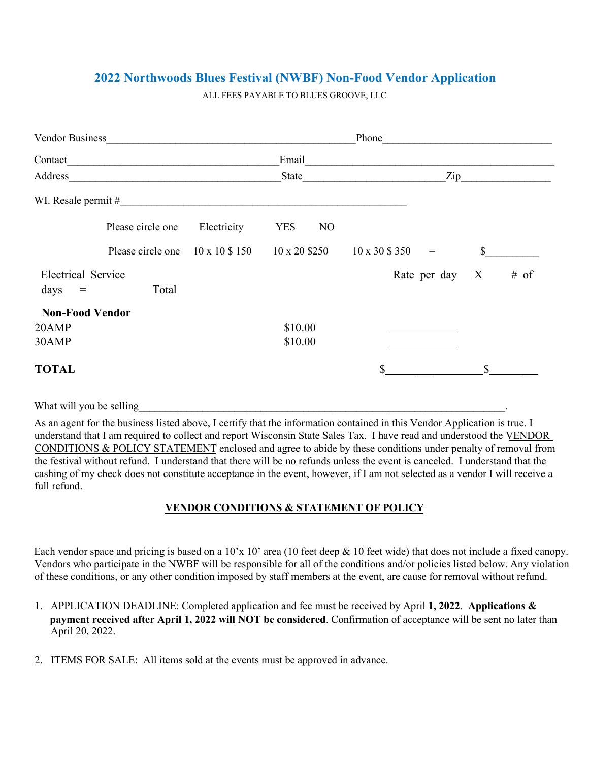# **2022 Northwoods Blues Festival (NWBF) Non-Food Vendor Application**

ALL FEES PAYABLE TO BLUES GROOVE, LLC

| Vendor Business        |                   |                                | Phone                        |                       |                                              |
|------------------------|-------------------|--------------------------------|------------------------------|-----------------------|----------------------------------------------|
|                        |                   |                                | Email                        |                       |                                              |
| Address                |                   | State                          | Zip                          |                       |                                              |
| WI. Resale permit #    |                   |                                |                              |                       |                                              |
|                        | Please circle one | Electricity                    | <b>YES</b><br>N <sub>O</sub> |                       |                                              |
|                        | Please circle one | $10 \times 10 \text{ } \$ 150$ | $10 \times 20$ \$250         | 10 x 30 \$ 350<br>$=$ | \$                                           |
| Electrical Service     |                   |                                |                              | Rate per day          | $# \text{ of }$<br>$\boldsymbol{\mathrm{X}}$ |
| days<br>$\equiv$       | Total             |                                |                              |                       |                                              |
| <b>Non-Food Vendor</b> |                   |                                |                              |                       |                                              |
| 20AMP                  |                   |                                | \$10.00                      |                       |                                              |
| 30AMP                  |                   |                                | \$10.00                      |                       |                                              |
| <b>TOTAL</b>           |                   |                                |                              | \$                    | S                                            |

What will you be selling

As an agent for the business listed above, I certify that the information contained in this Vendor Application is true. I understand that I am required to collect and report Wisconsin State Sales Tax. I have read and understood the VENDOR CONDITIONS & POLICY STATEMENT enclosed and agree to abide by these conditions under penalty of removal from the festival without refund. I understand that there will be no refunds unless the event is canceled. I understand that the cashing of my check does not constitute acceptance in the event, however, if I am not selected as a vendor I will receive a full refund.

## **VENDOR CONDITIONS & STATEMENT OF POLICY**

Each vendor space and pricing is based on a  $10'x 10'$  area (10 feet deep & 10 feet wide) that does not include a fixed canopy. Vendors who participate in the NWBF will be responsible for all of the conditions and/or policies listed below. Any violation of these conditions, or any other condition imposed by staff members at the event, are cause for removal without refund.

- 1. APPLICATION DEADLINE: Completed application and fee must be received by April **1, 2022**. **Applications & payment received after April 1, 2022 will NOT be considered**. Confirmation of acceptance will be sent no later than April 20, 2022.
- 2. ITEMS FOR SALE: All items sold at the events must be approved in advance.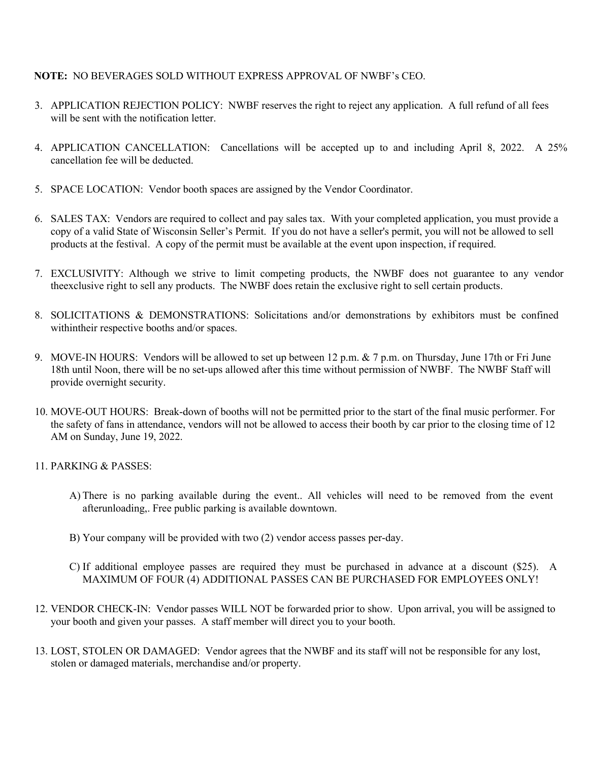### **NOTE:** NO BEVERAGES SOLD WITHOUT EXPRESS APPROVAL OF NWBF's CEO.

- 3. APPLICATION REJECTION POLICY: NWBF reserves the right to reject any application. A full refund of all fees will be sent with the notification letter.
- 4. APPLICATION CANCELLATION: Cancellations will be accepted up to and including April 8, 2022. A 25% cancellation fee will be deducted.
- 5. SPACE LOCATION: Vendor booth spaces are assigned by the Vendor Coordinator.
- 6. SALES TAX: Vendors are required to collect and pay sales tax. With your completed application, you must provide a copy of a valid State of Wisconsin Seller's Permit. If you do not have a seller's permit, you will not be allowed to sell products at the festival. A copy of the permit must be available at the event upon inspection, if required.
- 7. EXCLUSIVITY: Although we strive to limit competing products, the NWBF does not guarantee to any vendor theexclusive right to sell any products. The NWBF does retain the exclusive right to sell certain products.
- 8. SOLICITATIONS & DEMONSTRATIONS: Solicitations and/or demonstrations by exhibitors must be confined withintheir respective booths and/or spaces.
- 9. MOVE-IN HOURS: Vendors will be allowed to set up between 12 p.m. & 7 p.m. on Thursday, June 17th or Fri June 18th until Noon, there will be no set-ups allowed after this time without permission of NWBF. The NWBF Staff will provide overnight security.
- 10. MOVE-OUT HOURS: Break-down of booths will not be permitted prior to the start of the final music performer. For the safety of fans in attendance, vendors will not be allowed to access their booth by car prior to the closing time of 12 AM on Sunday, June 19, 2022.
- 11. PARKING & PASSES:
	- A) There is no parking available during the event.. All vehicles will need to be removed from the event afterunloading,. Free public parking is available downtown.
	- B) Your company will be provided with two (2) vendor access passes per-day.
	- C) If additional employee passes are required they must be purchased in advance at a discount (\$25). A MAXIMUM OF FOUR (4) ADDITIONAL PASSES CAN BE PURCHASED FOR EMPLOYEES ONLY!
- 12. VENDOR CHECK-IN: Vendor passes WILL NOT be forwarded prior to show. Upon arrival, you will be assigned to your booth and given your passes. A staff member will direct you to your booth.
- 13. LOST, STOLEN OR DAMAGED: Vendor agrees that the NWBF and its staff will not be responsible for any lost, stolen or damaged materials, merchandise and/or property.